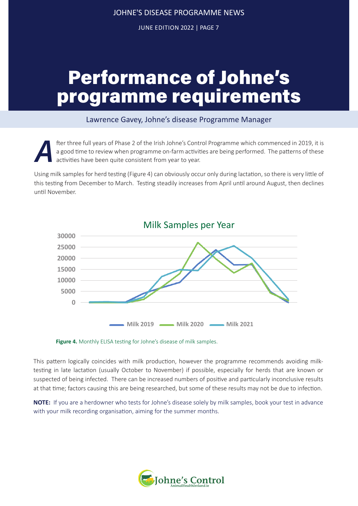JUNE EDITION 2022 | PAGE 7

## Performance of Johne's programme requirements

## Lawrence Gavey, Johne's disease Programme Manager

fter three full years of Phase 2 of the Irish Johne's Control Programme which commenced in 2019, it is<br>a good time to review when programme on-farm activities are being performed. The patterns of these<br>activities have been a good time to review when programme on-farm activities are being performed. The patterns of these activities have been quite consistent from year to year.

Using milk samples for herd testing (Figure 4) can obviously occur only during lactation, so there is very little of this testing from December to March. Testing steadily increases from April until around August, then declines until November.



**Figure 4.** Monthly ELISA testing for Johne's disease of milk samples.

This pattern logically coincides with milk production, however the programme recommends avoiding milktesting in late lactation (usually October to November) if possible, especially for herds that are known or suspected of being infected. There can be increased numbers of positive and particularly inconclusive results at that time; factors causing this are being researched, but some of these results may not be due to infection.

**NOTE:** If you are a herdowner who tests for Johne's disease solely by milk samples, book your test in advance with your milk recording organisation, aiming for the summer months.

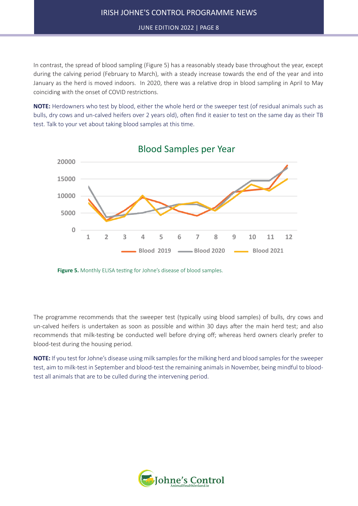JUNE EDITION 2022 | PAGE 8

June Edition | 2022

In contrast, the spread of blood sampling (Figure 5) has a reasonably steady base throughout the year, except during the calving period (February to March), with a steady increase towards the end of the year and into January as the herd is moved indoors. In 2020, there was a relative drop in blood sampling in April to May coinciding with the onset of COVID restrictions.

**NOTE:** Herdowners who test by blood, either the whole herd or the sweeper test (of residual animals such as bulls, dry cows and un-calved heifers over 2 years old), often find it easier to test on the same day as their TB test. Talk to your vet about taking blood samples at this time.



Blood Samples per Year

**Figure 5.** Monthly ELISA testing for Johne's disease of blood samples.

The programme recommends that the sweeper test (typically using blood samples) of bulls, dry cows and un-calved heifers is undertaken as soon as possible and within 30 days after the main herd test; and also recommends that milk-testing be conducted well before drying off; whereas herd owners clearly prefer to blood-test during the housing period.

**NOTE:** If you test for Johne's disease using milk samples for the milking herd and blood samples for the sweeper test, aim to milk-test in September and blood-test the remaining animals in November, being mindful to bloodtest all animals that are to be culled during the intervening period.

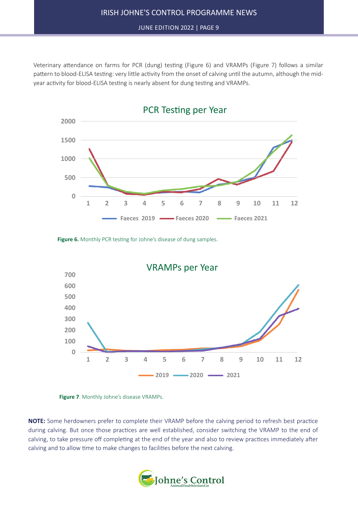JUNE EDITION 2022 | PAGE 9

June Edition | 2022

Veterinary attendance on farms for PCR (dung) testing (Figure 6) and VRAMPs (Figure 7) follows a similar pattern to blood-ELISA testing: very little activity from the onset of calving until the autumn, although the midyear activity for blood-ELISA testing is nearly absent for dung testing and VRAMPs.



Figure 6. Monthly PCR testing for Johne's disease of dung samples.





**NOTE:** Some herdowners prefer to complete their VRAMP before the calving period to refresh best practice during calving. But once those practices are well established, consider switching the VRAMP to the end of calving, to take pressure off completing at the end of the year and also to review practices immediately after calving and to allow time to make changes to facilities before the next calving.